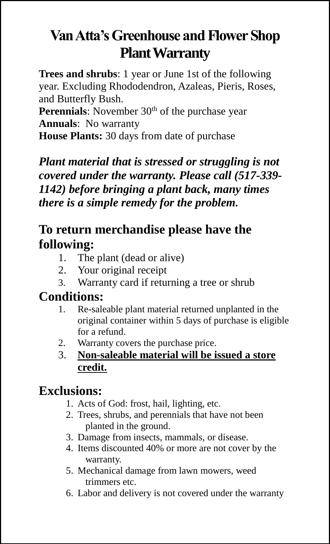## **Van Atta's Greenhouse and Flower Shop Plant Warranty**

**Trees and shrubs**: 1 year or June 1st of the following year. Excluding Rhododendron, Azaleas, Pieris, Roses, and Butterfly Bush.

**Perennials**: November 30<sup>th</sup> of the purchase year **Annuals**: No warranty

**House Plants:** 30 days from date of purchase

*Plant material that is stressed or struggling is not covered under the warranty. Please call (517-339- 1142) before bringing a plant back, many times there is a simple remedy for the problem.*

## **To return merchandise please have the following:**

- 1. The plant (dead or alive)<br>2. Your original receipt
- Your original receipt
- 3. Warranty card if returning a tree or shrub

## **Conditions:**

- 1. Re-saleable plant material returned unplanted in the original container within 5 days of purchase is eligible for a refund.
- 2. Warranty covers the purchase price.
- 3. **Non-saleable material will be issued a store credit.**

## **Exclusions:**

- 1. Acts of God: frost, hail, lighting, etc.
- 2. Trees, shrubs, and perennials that have not been planted in the ground.
- 3. Damage from insects, mammals, or disease.
- 4. Items discounted 40% or more are not cover by the warranty.
- 5. Mechanical damage from lawn mowers, weed trimmers etc.
- 6. Labor and delivery is not covered under the warranty